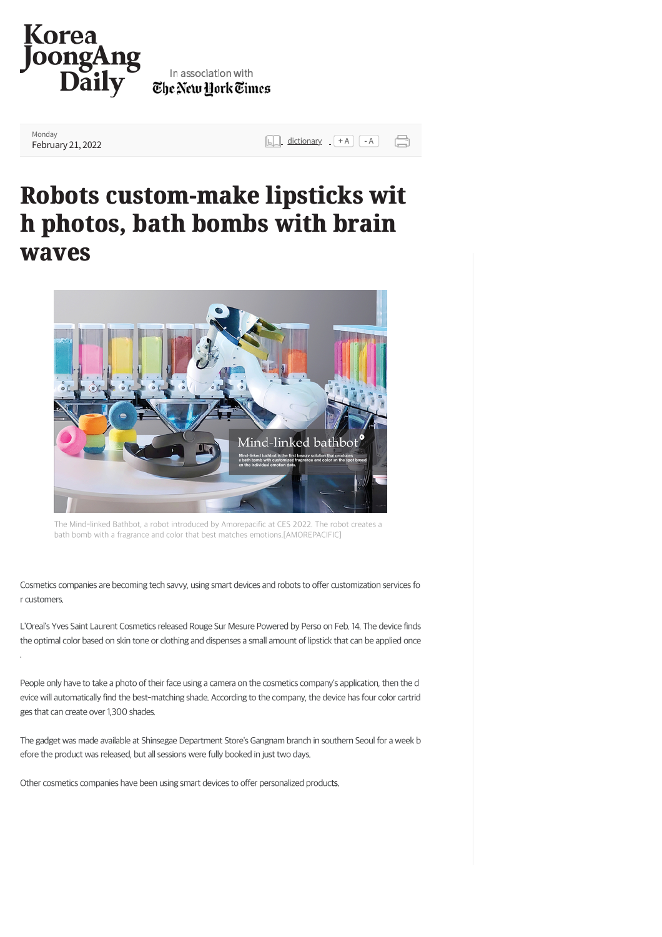

## In association with The New York Times

Monday

**[February 21, 2022](https://koreajoongangdaily.joins.com/) and the set of the set of the set of the set of the set of the set of the set of the set of the set of the set of the set of the set of the set of the set of the set of the set of the set of the set of** 

## **[Robo](https://koreajoongangdaily.joins.com/section/allArticles)[ts cus](https://koreajoongangdaily.joins.com/section/why)[tom-](https://koreajoongangdaily.joins.com/section/national)[make](https://koreajoongangdaily.joins.com/section/business) [lipsti](https://koreajoongangdaily.joins.com/section/culture)[cks wi](https://koreajoongangdaily.joins.com/section/entertainment)t Robots lipsticks w[it](https://koreajoongangdaily.joins.com/section/sports) h phot[os, ba](https://koreajoongangdaily.joins.com/section/economy)[th b](https://koreajoongangdaily.joins.com/section/industry)[omb](https://koreajoongangdaily.joins.com/section/tech)[s wi](https://koreajoongangdaily.joins.com/section/finance)[th br](https://koreajoongangdaily.joins.com/section/indepth)[ain](https://koreajoongangdaily.joins.com/section/sponsoredReports) h phot[os, ba](https://koreajoongangdaily.joins.com/section/economy)[th b](https://koreajoongangdaily.joins.com/section/industry)[omb](https://koreajoongangdaily.joins.com/section/tech)[s wi](https://koreajoongangdaily.joins.com/section/finance)[th br](https://koreajoongangdaily.joins.com/section/indepth)[ain](https://koreajoongangdaily.joins.com/section/sponsoredReports)  waves**



The Mind-linked Bathbot, a robot introduced by Amorepacific at CES 2022. The robot creates a bath bomb with a fragrance and color that best matches emotions.[AMOREPACIFIC]

Cosmetics companies are becoming tech savvy, using smart devices and robots to offer customization services fo r customers.

L'Oreal's Yves Saint Laurent Cosmetics released Rouge Sur Mesure Powered by Perso on Feb. 14. The device finds the optimal color based on skin tone or clothing and dispenses a small amount of lipstick that can be applied once .

People only have to take a photo of their face using a camera on the cosmetics company's application, then the d evice will automatically find the best-matching shade. According to the company, the device has four color cartrid ges that can create over 1,300 shades.

The gadget was made available at Shinsegae Department Store's Gangnam branch in southern Seoul for a week b efore the product was released, but all sessions were fully booked in just two days.

Other cosmetics companies have been using smart devices to offer personalized products.